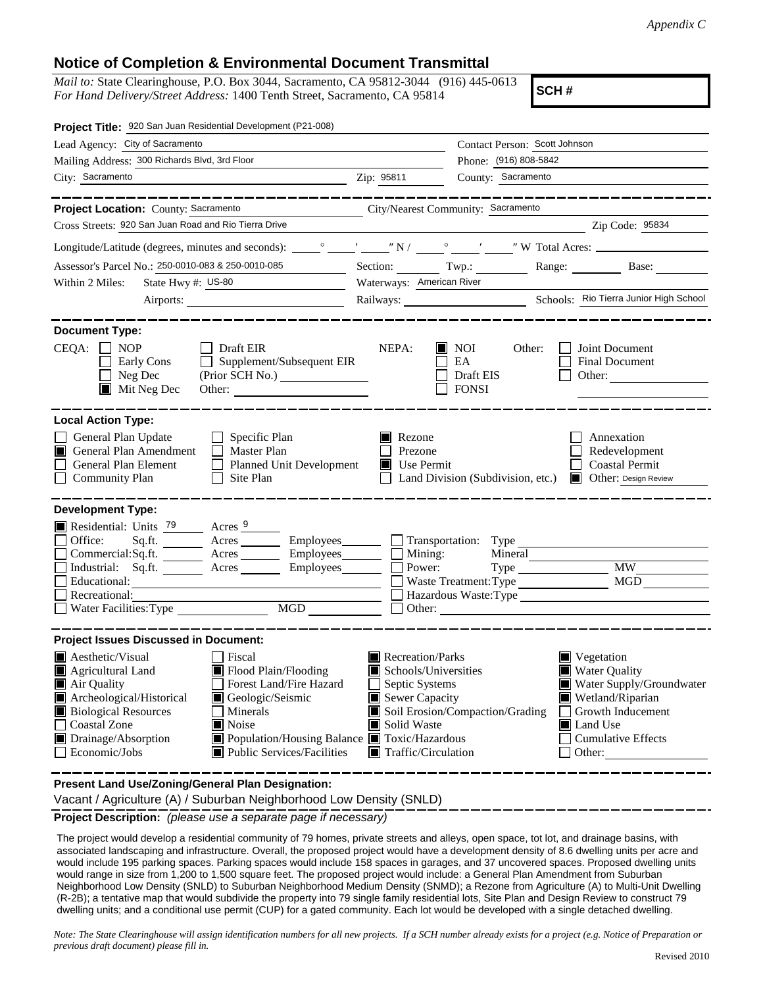## **Notice of Completion & Environmental Document Transmittal**

*Mail to:* State Clearinghouse, P.O. Box 3044, Sacramento, CA 95812-3044 (916) 445-0613 *For Hand Delivery/Street Address:* 1400 Tenth Street, Sacramento, CA 95814

**SCH #**

| Project Title: 920 San Juan Residential Development (P21-008)                                                                                                                                                                       |                                                              |                                                                          |                                                                                     |  |
|-------------------------------------------------------------------------------------------------------------------------------------------------------------------------------------------------------------------------------------|--------------------------------------------------------------|--------------------------------------------------------------------------|-------------------------------------------------------------------------------------|--|
| Lead Agency: City of Sacramento                                                                                                                                                                                                     | Contact Person: Scott Johnson                                |                                                                          |                                                                                     |  |
| Mailing Address: 300 Richards Blvd, 3rd Floor                                                                                                                                                                                       |                                                              | Phone: (916) 808-5842                                                    |                                                                                     |  |
| City: Sacramento                                                                                                                                                                                                                    | Zip: 95811                                                   | County: Sacramento                                                       |                                                                                     |  |
|                                                                                                                                                                                                                                     |                                                              |                                                                          |                                                                                     |  |
| Project Location: County: Sacramento                                                                                                                                                                                                | City/Nearest Community: Sacramento                           |                                                                          |                                                                                     |  |
| Cross Streets: 920 San Juan Road and Rio Tierra Drive                                                                                                                                                                               |                                                              |                                                                          | Zip Code: 95834                                                                     |  |
|                                                                                                                                                                                                                                     |                                                              |                                                                          |                                                                                     |  |
| Assessor's Parcel No.: 250-0010-083 & 250-0010-085<br><u> 1999 - John Barnett</u>                                                                                                                                                   |                                                              |                                                                          | Section: Twp.: Range: Base:                                                         |  |
| Within 2 Miles:<br>State Hwy #: US-80                                                                                                                                                                                               | Waterways: American River                                    |                                                                          |                                                                                     |  |
|                                                                                                                                                                                                                                     |                                                              |                                                                          |                                                                                     |  |
| <b>Document Type:</b><br>$CEQA: \Box NOP$<br>$\Box$ Draft EIR<br>$\Box$ Supplement/Subsequent EIR<br>Early Cons<br>$\Box$ Neg Dec<br>$\blacksquare$ Mit Neg Dec<br>Other:                                                           | NEPA:<br>II.                                                 | <b>NOI</b><br>Other:<br>EA<br>Draft EIS<br><b>FONSI</b>                  | Joint Document<br><b>Final Document</b><br>Other: $\qquad \qquad$                   |  |
| <b>Local Action Type:</b><br>General Plan Update<br>$\Box$ Specific Plan<br>General Plan Amendment<br>$\Box$ Master Plan<br>IП<br>General Plan Element<br>Planned Unit Development<br><b>Community Plan</b><br>Site Plan<br>$\perp$ | Rezone<br>Ш<br>Prezone<br>Use Permit                         | Land Division (Subdivision, etc.)                                        | Annexation<br>Redevelopment<br><b>Coastal Permit</b><br><b>Other: Design Review</b> |  |
| <b>Development Type:</b>                                                                                                                                                                                                            |                                                              |                                                                          |                                                                                     |  |
| Residential: Units $\frac{79}{2}$ Acres 9                                                                                                                                                                                           |                                                              |                                                                          |                                                                                     |  |
| Office:<br>Sq.ft. ________ Acres _________ Employees _______ __ Transportation: Type _______<br>Commercial:Sq.ft. ________ Acres ________ Employees _______ $\Box$                                                                  | Mining:                                                      | Mineral                                                                  |                                                                                     |  |
| Industrial: Sq.ft. _______ Acres ________ Employees________ $\Box$                                                                                                                                                                  | Power:                                                       |                                                                          | <b>MW</b>                                                                           |  |
| Educational:                                                                                                                                                                                                                        |                                                              | Waste Treatment: Type                                                    | MGD                                                                                 |  |
| Recreational:                                                                                                                                                                                                                       | Hazardous Waste:Type                                         |                                                                          |                                                                                     |  |
| Water Facilities: Type                                                                                                                                                                                                              |                                                              |                                                                          |                                                                                     |  |
| <b>Project Issues Discussed in Document:</b>                                                                                                                                                                                        |                                                              |                                                                          |                                                                                     |  |
| $\blacksquare$ Aesthetic/Visual<br>  Fiscal                                                                                                                                                                                         | $\blacksquare$ Recreation/Parks                              |                                                                          | $\blacksquare$ Vegetation                                                           |  |
| Flood Plain/Flooding<br>Agricultural Land                                                                                                                                                                                           | <b>Water Quality</b><br>Schools/Universities                 |                                                                          |                                                                                     |  |
| Forest Land/Fire Hazard<br>Air Quality                                                                                                                                                                                              | Septic Systems<br>Water Supply/Groundwater<br>Sewer Capacity |                                                                          |                                                                                     |  |
| Archeological/Historical<br>Geologic/Seismic<br><b>Biological Resources</b><br>Minerals                                                                                                                                             |                                                              | Wetland/Riparian<br>Soil Erosion/Compaction/Grading<br>Growth Inducement |                                                                                     |  |
| <b>Coastal Zone</b><br>Noise                                                                                                                                                                                                        | Solid Waste<br>Land Use                                      |                                                                          |                                                                                     |  |
| Drainage/Absorption<br>Population/Housing Balance <b>T</b> Toxic/Hazardous                                                                                                                                                          | <b>Cumulative Effects</b>                                    |                                                                          |                                                                                     |  |
| Economic/Jobs<br>■ Public Services/Facilities                                                                                                                                                                                       | $\blacksquare$ Traffic/Circulation<br>Other:                 |                                                                          |                                                                                     |  |
|                                                                                                                                                                                                                                     |                                                              |                                                                          |                                                                                     |  |

**Present Land Use/Zoning/General Plan Designation:**

Vacant / Agriculture (A) / Suburban Neighborhood Low Density (SNLD)

**Project Description:** *(please use a separate page if necessary)*

 The project would develop a residential community of 79 homes, private streets and alleys, open space, tot lot, and drainage basins, with associated landscaping and infrastructure. Overall, the proposed project would have a development density of 8.6 dwelling units per acre and would include 195 parking spaces. Parking spaces would include 158 spaces in garages, and 37 uncovered spaces. Proposed dwelling units would range in size from 1,200 to 1,500 square feet. The proposed project would include: a General Plan Amendment from Suburban Neighborhood Low Density (SNLD) to Suburban Neighborhood Medium Density (SNMD); a Rezone from Agriculture (A) to Multi-Unit Dwelling (R-2B); a tentative map that would subdivide the property into 79 single family residential lots, Site Plan and Design Review to construct 79 dwelling units; and a conditional use permit (CUP) for a gated community. Each lot would be developed with a single detached dwelling.

*Note: The State Clearinghouse will assign identification numbers for all new projects. If a SCH number already exists for a project (e.g. Notice of Preparation or previous draft document) please fill in.*